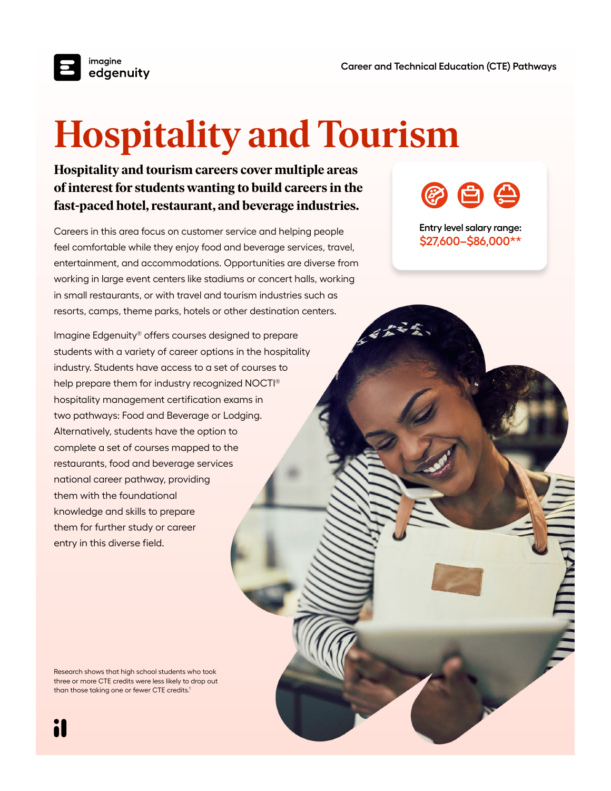

# **Hospitality and Tourism**

## **Hospitality and tourism careers cover multiple areas of interest for students wanting to build careers in the fast-paced hotel, restaurant, and beverage industries.**

Careers in this area focus on customer service and helping people feel comfortable while they enjoy food and beverage services, travel, entertainment, and accommodations. Opportunities are diverse from working in large event centers like stadiums or concert halls, working in small restaurants, or with travel and tourism industries such as resorts, camps, theme parks, hotels or other destination centers.

Imagine Edgenuity® offers courses designed to prepare students with a variety of career options in the hospitality industry. Students have access to a set of courses to help prepare them for industry recognized NOCTI® hospitality management certification exams in two pathways: Food and Beverage or Lodging. Alternatively, students have the option to complete a set of courses mapped to the restaurants, food and beverage services national career pathway, providing them with the foundational knowledge and skills to prepare them for further study or career entry in this diverse field.

夜白色

**Entry level salary range: \$27,600–\$86,000\*\***

Research shows that high school students who took three or more CTE credits were less likely to drop out than those taking one or fewer CTE credits.<sup>1</sup>